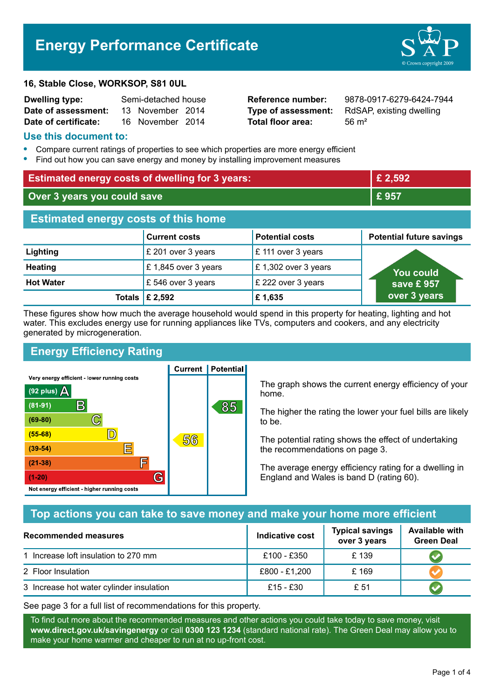# **Energy Performance Certificate**

#### **16, Stable Close, WORKSOP, S81 0UL**

| <b>Dwelling type:</b> | Semi-detached house |                  |  |
|-----------------------|---------------------|------------------|--|
| Date of assessment:   |                     | 13 November 2014 |  |
| Date of certificate:  |                     | 16 November 2014 |  |

**Total floor area:** 56 m<sup>2</sup>

**Reference number:** 9878-0917-6279-6424-7944 **Type of assessment:** RdSAP, existing dwelling

#### **Use this document to:**

- **•** Compare current ratings of properties to see which properties are more energy efficient
- **•** Find out how you can save energy and money by installing improvement measures

| <b>Estimated energy costs of dwelling for 3 years:</b> |                                 |                        | £ 2,592                         |
|--------------------------------------------------------|---------------------------------|------------------------|---------------------------------|
| Over 3 years you could save                            |                                 | £957                   |                                 |
| <b>Estimated energy costs of this home</b>             |                                 |                        |                                 |
|                                                        | <b>Current costs</b>            | <b>Potential costs</b> | <b>Potential future savings</b> |
| Lighting                                               | £ 201 over 3 years              | £ 111 over 3 years     |                                 |
| <b>Heating</b>                                         | £1,845 over 3 years             | £1,302 over 3 years    | <b>You could</b>                |
| <b>Hot Water</b>                                       | £546 over 3 years               | £ 222 over 3 years     | save £957                       |
|                                                        | Totals $\mathbf \epsilon$ 2,592 | £1,635                 | over 3 years                    |

These figures show how much the average household would spend in this property for heating, lighting and hot water. This excludes energy use for running appliances like TVs, computers and cookers, and any electricity generated by microgeneration.

# **Energy Efficiency Rating**

**Current | Potential** 



The graph shows the current energy efficiency of your home.

The higher the rating the lower your fuel bills are likely to be.

The potential rating shows the effect of undertaking the recommendations on page 3.

The average energy efficiency rating for a dwelling in England and Wales is band D (rating 60).

## **Top actions you can take to save money and make your home more efficient**

| Recommended measures                     | Indicative cost | <b>Typical savings</b><br>over 3 years | <b>Available with</b><br><b>Green Deal</b> |
|------------------------------------------|-----------------|----------------------------------------|--------------------------------------------|
| 1 Increase loft insulation to 270 mm     | £100 - £350     | £139                                   |                                            |
| 2 Floor Insulation                       | £800 - £1,200   | £169                                   |                                            |
| 3 Increase hot water cylinder insulation | £15 - £30       | £ 51                                   |                                            |

See page 3 for a full list of recommendations for this property.

To find out more about the recommended measures and other actions you could take today to save money, visit **www.direct.gov.uk/savingenergy** or call **0300 123 1234** (standard national rate). The Green Deal may allow you to make your home warmer and cheaper to run at no up-front cost.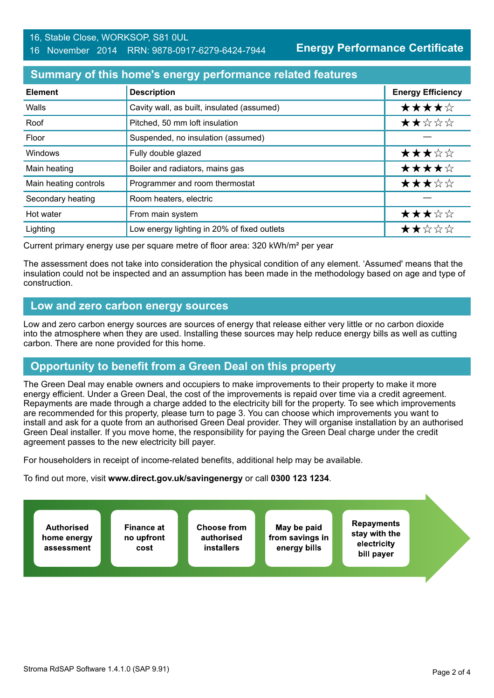## **Summary of this home's energy performance related features**

| <b>Element</b>        | <b>Description</b>                          | <b>Energy Efficiency</b> |
|-----------------------|---------------------------------------------|--------------------------|
| Walls                 | Cavity wall, as built, insulated (assumed)  | ★★★★☆                    |
| Roof                  | Pitched, 50 mm loft insulation              | ★★☆☆☆                    |
| Floor                 | Suspended, no insulation (assumed)          |                          |
| Windows               | Fully double glazed                         | ★★★☆☆                    |
| Main heating          | Boiler and radiators, mains gas             | ★★★★☆                    |
| Main heating controls | Programmer and room thermostat              | ★★★☆☆                    |
| Secondary heating     | Room heaters, electric                      |                          |
| Hot water             | From main system                            | ★★★☆☆                    |
| Lighting              | Low energy lighting in 20% of fixed outlets | ★★☆☆☆                    |

Current primary energy use per square metre of floor area: 320 kWh/m² per year

The assessment does not take into consideration the physical condition of any element. 'Assumed' means that the insulation could not be inspected and an assumption has been made in the methodology based on age and type of construction.

## **Low and zero carbon energy sources**

Low and zero carbon energy sources are sources of energy that release either very little or no carbon dioxide into the atmosphere when they are used. Installing these sources may help reduce energy bills as well as cutting carbon. There are none provided for this home.

## **Opportunity to benefit from a Green Deal on this property**

The Green Deal may enable owners and occupiers to make improvements to their property to make it more energy efficient. Under a Green Deal, the cost of the improvements is repaid over time via a credit agreement. Repayments are made through a charge added to the electricity bill for the property. To see which improvements are recommended for this property, please turn to page 3. You can choose which improvements you want to install and ask for a quote from an authorised Green Deal provider. They will organise installation by an authorised Green Deal installer. If you move home, the responsibility for paying the Green Deal charge under the credit agreement passes to the new electricity bill payer.

For householders in receipt of income-related benefits, additional help may be available.

To find out more, visit **www.direct.gov.uk/savingenergy** or call **0300 123 1234**.

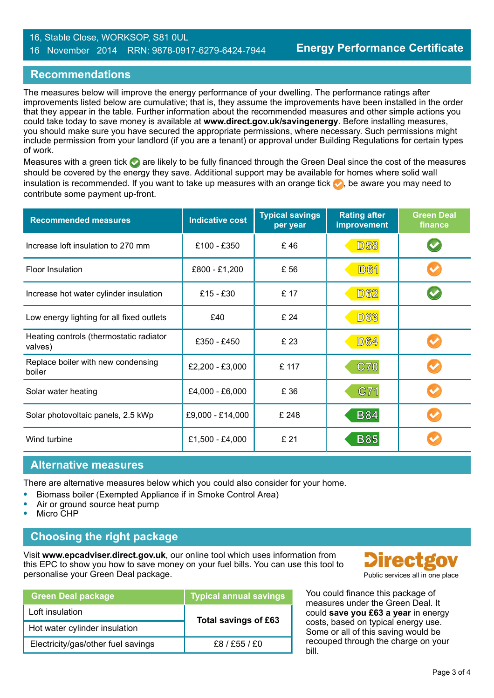#### 16, Stable Close, WORKSOP, S81 0UL 16 November 2014 RRN: 9878-0917-6279-6424-7944

## **Recommendations**

The measures below will improve the energy performance of your dwelling. The performance ratings after improvements listed below are cumulative; that is, they assume the improvements have been installed in the order that they appear in the table. Further information about the recommended measures and other simple actions you could take today to save money is available at **www.direct.gov.uk/savingenergy**. Before installing measures, you should make sure you have secured the appropriate permissions, where necessary. Such permissions might include permission from your landlord (if you are a tenant) or approval under Building Regulations for certain types of work.

Measures with a green tick  $\bullet$  are likely to be fully financed through the Green Deal since the cost of the measures should be covered by the energy they save. Additional support may be available for homes where solid wall insulation is recommended. If you want to take up measures with an orange tick  $\bullet$ , be aware you may need to contribute some payment up-front.

| <b>Recommended measures</b>                        | <b>Typical savings</b><br><b>Indicative cost</b><br>per year |       | <b>Rating after</b><br>improvement | <b>Green Deal</b><br>finance |
|----------------------------------------------------|--------------------------------------------------------------|-------|------------------------------------|------------------------------|
| Increase loft insulation to 270 mm                 | £100 - £350                                                  | £46   | <b>D58</b>                         |                              |
| <b>Floor Insulation</b>                            | £800 - £1,200                                                | £ 56  | <b>D61</b>                         |                              |
| Increase hot water cylinder insulation             | £15 - £30                                                    | £ 17  | <b>D62</b>                         |                              |
| Low energy lighting for all fixed outlets          | £40                                                          | £ 24  | <b>D63</b>                         |                              |
| Heating controls (thermostatic radiator<br>valves) | £350 - £450                                                  | £ 23  | <b>D64</b>                         |                              |
| Replace boiler with new condensing<br>boiler       | £2,200 - £3,000                                              | £ 117 | C70                                |                              |
| Solar water heating                                | £4,000 - £6,000                                              | £ 36  | C71                                |                              |
| Solar photovoltaic panels, 2.5 kWp                 | £9,000 - £14,000                                             | £ 248 | <b>B84</b>                         |                              |
| Wind turbine                                       | £1,500 - £4,000                                              | £ 21  | <b>B85</b>                         |                              |

#### **Alternative measures**

There are alternative measures below which you could also consider for your home.

- **•** Biomass boiler (Exempted Appliance if in Smoke Control Area)
- **•** Air or ground source heat pump
- **•** Micro CHP

## **Choosing the right package**

Visit **www.epcadviser.direct.gov.uk**, our online tool which uses information from this EPC to show you how to save money on your fuel bills. You can use this tool to personalise your Green Deal package. **Public services all in one place** provided by a public services all in one place

| <b>Green Deal package</b>          | <b>Typical annual savings</b> |  |
|------------------------------------|-------------------------------|--|
| Loft insulation                    | Total savings of £63          |  |
| Hot water cylinder insulation      |                               |  |
| Electricity/gas/other fuel savings | £8/£55/£0                     |  |



You could finance this package of measures under the Green Deal. It could **save you £63 a year** in energy costs, based on typical energy use. Some or all of this saving would be recouped through the charge on your bill.